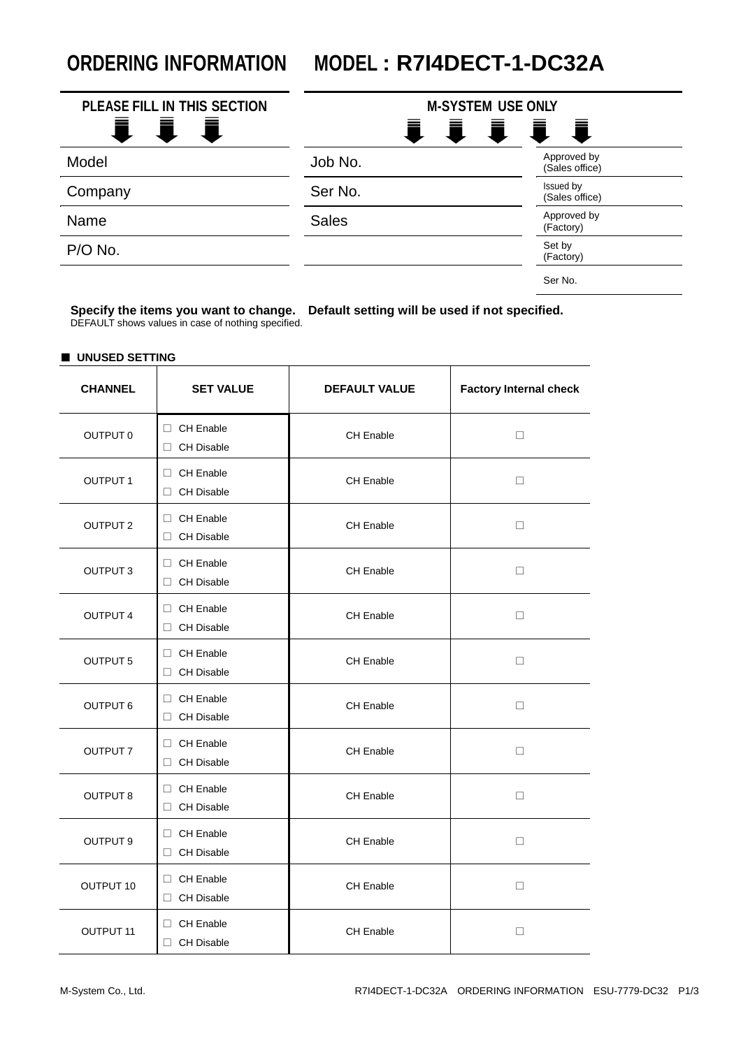## **ORDERING INFORMATION MODEL : R7I4DECT-1-DC32A**

| PLEASE FILL IN THIS SECTION<br>i i | <b>M-SYSTEM USE ONLY</b> | 1111                          |
|------------------------------------|--------------------------|-------------------------------|
| Model                              | Job No.                  | Approved by<br>(Sales office) |
| Company                            | Ser No.                  | Issued by<br>(Sales office)   |
| Name                               | <b>Sales</b>             | Approved by<br>(Factory)      |
| P/O No.                            |                          | Set by<br>(Factory)           |
|                                    |                          | Ser No.                       |

**Specify the items you want to change. Default setting will be used if not specified.** DEFAULT shows values in case of nothing specified.

## ■ **UNUSED SETTING**

| <b>CHANNEL</b>       | <b>SET VALUE</b>                 | <b>Factory Internal check</b><br><b>DEFAULT VALUE</b> |        |  |
|----------------------|----------------------------------|-------------------------------------------------------|--------|--|
| OUTPUT 0             | □ CH Enable<br>□ CH Disable      | CH Enable                                             | $\Box$ |  |
| <b>OUTPUT1</b>       | □ CH Enable<br>□ CH Disable      | CH Enable                                             | $\Box$ |  |
| <b>OUTPUT 2</b>      | □ CH Enable<br>□ CH Disable      | CH Enable                                             | □      |  |
| OUTPUT <sub>3</sub>  | □ CH Enable<br>□ CH Disable      | CH Enable                                             | □      |  |
| <b>OUTPUT 4</b>      | □ CH Enable<br>$\Box$ CH Disable | CH Enable                                             | □      |  |
| OUTPUT <sub>5</sub>  | □ CH Enable<br>□ CH Disable      | <b>CH Enable</b>                                      | □      |  |
| <b>OUTPUT 6</b>      | □ CH Enable<br>□ CH Disable      | <b>CH Enable</b>                                      | $\Box$ |  |
| OUTPUT 7             | □ CH Enable<br>□ CH Disable      | <b>CH Enable</b>                                      | □      |  |
| OUTPUT 8             | □ CH Enable<br>□ CH Disable      | CH Enable                                             | □      |  |
| OUTPUT 9             | □ CH Enable<br>□ CH Disable      | <b>CH Enable</b>                                      | □      |  |
| OUTPUT 10            | □ CH Enable<br>□ CH Disable      | <b>CH Enable</b>                                      | □      |  |
| OUTPUT <sub>11</sub> | □ CH Enable<br>$\Box$ CH Disable | <b>CH Enable</b>                                      | □      |  |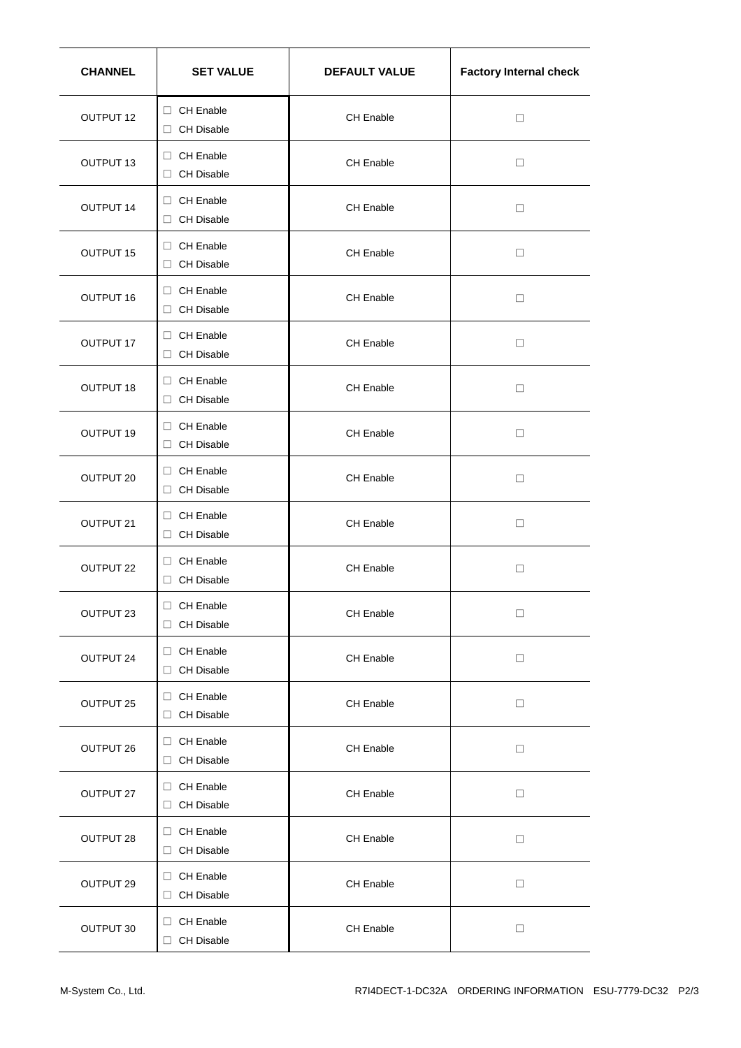| <b>CHANNEL</b>   | <b>SET VALUE</b>                 | <b>DEFAULT VALUE</b> | <b>Factory Internal check</b> |  |
|------------------|----------------------------------|----------------------|-------------------------------|--|
| OUTPUT 12        | □ CH Enable<br>□ CH Disable      | CH Enable            | □                             |  |
| OUTPUT 13        | □ CH Enable<br>□ CH Disable      | CH Enable            | □                             |  |
| OUTPUT 14        | □ CH Enable<br>□ CH Disable      | CH Enable            | □                             |  |
| OUTPUT 15        | CH Enable<br>$\Box$ CH Disable   | CH Enable            | □                             |  |
| <b>OUTPUT 16</b> | □ CH Enable<br>□ CH Disable      | CH Enable            | □                             |  |
| OUTPUT 17        | □ CH Enable<br>□ CH Disable      | CH Enable            | □                             |  |
| OUTPUT 18        | □ CH Enable<br>□ CH Disable      | CH Enable            | □                             |  |
| OUTPUT 19        | □ CH Enable<br>$\Box$ CH Disable | CH Enable            | □                             |  |
| OUTPUT 20        | □ CH Enable<br>$\Box$ CH Disable | CH Enable            | □                             |  |
| OUTPUT 21        | □ CH Enable<br>$\Box$ CH Disable | CH Enable            | □                             |  |
| OUTPUT 22        | □ CH Enable<br>$\Box$ CH Disable | <b>CH Enable</b>     | □                             |  |
| OUTPUT 23        | □ CH Enable<br>□ CH Disable      | CH Enable            | □                             |  |
| OUTPUT 24        | CH Enable<br>□ CH Disable        | CH Enable            | □                             |  |
| OUTPUT 25        | CH Enable<br>□ CH Disable        | CH Enable            | $\Box$                        |  |
| OUTPUT 26        | CH Enable<br>□ CH Disable        | CH Enable            | □                             |  |
| OUTPUT 27        | $\Box$ CH Enable<br>□ CH Disable | CH Enable            | □                             |  |
| OUTPUT 28        | □ CH Enable<br>$\Box$ CH Disable | <b>CH Enable</b>     | □                             |  |
| OUTPUT 29        | □ CH Enable<br>$\Box$ CH Disable | CH Enable            | □                             |  |
| OUTPUT 30        | CH Enable<br>□ CH Disable        | CH Enable            | □                             |  |